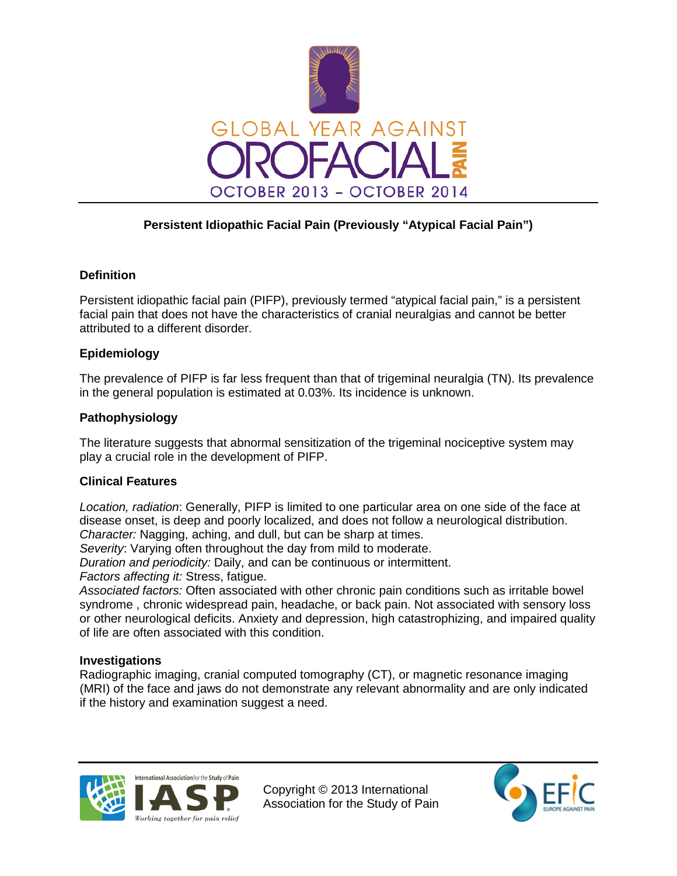

# **Persistent Idiopathic Facial Pain (Previously "Atypical Facial Pain")**

## **Definition**

Persistent idiopathic facial pain (PIFP), previously termed "atypical facial pain," is a persistent facial pain that does not have the characteristics of cranial neuralgias and cannot be better attributed to a different disorder.

## **Epidemiology**

The prevalence of PIFP is far less frequent than that of trigeminal neuralgia (TN). Its prevalence in the general population is estimated at 0.03%. Its incidence is unknown.

## **Pathophysiology**

The literature suggests that abnormal sensitization of the trigeminal nociceptive system may play a crucial role in the development of PIFP.

#### **Clinical Features**

*Location, radiation*: Generally, PIFP is limited to one particular area on one side of the face at disease onset, is deep and poorly localized, and does not follow a neurological distribution. *Character:* Nagging, aching, and dull, but can be sharp at times.

*Severity*: Varying often throughout the day from mild to moderate.

*Duration and periodicity:* Daily, and can be continuous or intermittent.

*Factors affecting it:* Stress, fatigue.

*Associated factors:* Often associated with other chronic pain conditions such as irritable bowel syndrome , chronic widespread pain, headache, or back pain. Not associated with sensory loss or other neurological deficits. Anxiety and depression, high catastrophizing, and impaired quality of life are often associated with this condition.

#### **Investigations**

Radiographic imaging, cranial computed tomography (CT), or magnetic resonance imaging (MRI) of the face and jaws do not demonstrate any relevant abnormality and are only indicated if the history and examination suggest a need.



Copyright © 2013 International Association for the Study of Pain